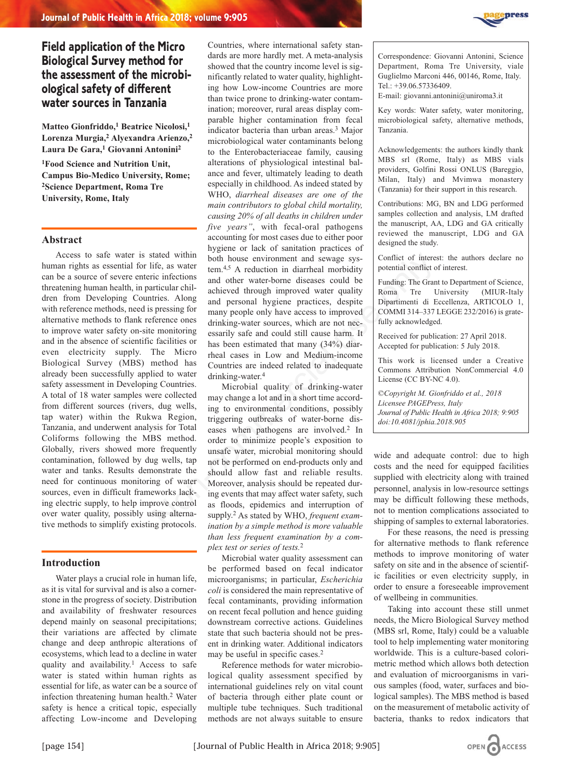# **Field application of the Micro Biological Survey method for the assessment of the microbiological safety of different water sources in Tanzania**

**Matteo Gionfriddo,1 Beatrice Nicolosi,1 Lorenza Murgia,2 Alyexandra Arienzo,2 Laura De Gara,1 Giovanni Antonini2**

**1Food Science and Nutrition Unit, Campus Bio-Medico University, Rome; 2Science Department, Roma Tre University, Rome, Italy**

## **Abstract**

Access to safe water is stated within human rights as essential for life, as water can be a source of severe enteric infections threatening human health, in particular children from Developing Countries. Along with reference methods, need is pressing for alternative methods to flank reference ones to improve water safety on-site monitoring and in the absence of scientific facilities or even electricity supply. The Micro Biological Survey (MBS) method has already been successfully applied to water safety assessment in Developing Countries. A total of 18 water samples were collected from different sources (rivers, dug wells, tap water) within the Rukwa Region, Tanzania, and underwent analysis for Total Coliforms following the MBS method. Globally, rivers showed more frequently contamination, followed by dug wells, tap water and tanks. Results demonstrate the need for continuous monitoring of water sources, even in difficult frameworks lacking electric supply, to help improve control over water quality, possibly using alternative methods to simplify existing protocols.

#### **Introduction**

Water plays a crucial role in human life, as it is vital for survival and is also a cornerstone in the progress of society. Distribution and availability of freshwater resources depend mainly on seasonal precipitations; their variations are affected by climate change and deep anthropic alterations of ecosystems, which lead to a decline in water quality and availability.<sup>1</sup> Access to safe water is stated within human rights as essential for life, as water can be a source of infection threatening human health.2 Water safety is hence a critical topic, especially affecting Low-income and Developing

Countries, where international safety standards are more hardly met. A meta-analysis showed that the country income level is significantly related to water quality, highlighting how Low-income Countries are more than twice prone to drinking-water contamination; moreover, rural areas display comparable higher contamination from fecal indicator bacteria than urban areas.3 Major microbiological water contaminants belong to the Enterobacteriaceae family, causing alterations of physiological intestinal balance and fever, ultimately leading to death especially in childhood. As indeed stated by WHO, *diarrheal diseases are one of the main contributors to global child mortality, causing 20% of all deaths in children under five years"*, with fecal-oral pathogens accounting for most cases due to either poor hygiene or lack of sanitation practices of both house environment and sewage system.4,5 A reduction in diarrheal morbidity and other water-borne diseases could be achieved through improved water quality and personal hygiene practices, despite many people only have access to improved drinking-water sources, which are not necessarily safe and could still cause harm. It has been estimated that many (34%) diarrheal cases in Low and Medium-income Countries are indeed related to inadequate drinking-water.4

Microbial quality of drinking-water may change a lot and in a short time according to environmental conditions, possibly triggering outbreaks of water-borne diseases when pathogens are involved.2 In order to minimize people's exposition to unsafe water, microbial monitoring should not be performed on end-products only and should allow fast and reliable results. Moreover, analysis should be repeated during events that may affect water safety, such as floods, epidemics and interruption of supply.2 As stated by WHO, *frequent examination by a simple method is more valuable than less frequent examination by a complex test or series of tests.*<sup>2</sup> tated within the same space of the mean interaction in diarrham and sevage sys-<br>
frie, as water to mean and other water-borne diseases could be punding. The Granitical<br>
trice infections and other water-borne diseases coul

> Microbial water quality assessment can be performed based on fecal indicator microorganisms; in particular, *Escherichia coli* is considered the main representative of fecal contaminants, providing information on recent fecal pollution and hence guiding downstream corrective actions. Guidelines state that such bacteria should not be present in drinking water. Additional indicators may be useful in specific cases.<sup>2</sup>

> Reference methods for water microbiological quality assessment specified by international guidelines rely on vital count of bacteria through either plate count or multiple tube techniques. Such traditional methods are not always suitable to ensure

Correspondence: Giovanni Antonini, Science Department, Roma Tre University, viale Guglielmo Marconi 446, 00146, Rome, Italy. Tel.: +39.06.57336409.

**Dress** 

E-mail: giovanni.antonini@uniroma3.it

Key words: Water safety, water monitoring, microbiological safety, alternative methods, Tanzania.

Acknowledgements: the authors kindly thank MBS srl (Rome, Italy) as MBS vials providers, Golfini Rossi ONLUS (Bareggio, Milan, Italy) and Mvimwa monastery (Tanzania) for their support in this research.

Contributions: MG, BN and LDG performed samples collection and analysis, LM drafted the manuscript, AA, LDG and GA critically reviewed the manuscript, LDG and GA designed the study.

Conflict of interest: the authors declare no potential conflict of interest.

Funding: The Grant to Department of Science, Roma Tre University (MIUR-Italy Dipartimenti di Eccellenza, ARTICOLO 1, COMMI 314–337 LEGGE 232/2016) is gratefully acknowledged.

Received for publication: 27 April 2018. Accepted for publication: 5 July 2018.

This work is licensed under a Creative Commons Attribution NonCommercial 4.0 License (CC BY-NC 4.0).

*©Copyright M. Gionfriddo et al., 2018 Licensee PAGEPress, Italy Journal of Public Health in Africa 2018; 9:905 doi:10.4081/jphia.2018*.*905*

wide and adequate control: due to high costs and the need for equipped facilities supplied with electricity along with trained personnel, analysis in low-resource settings may be difficult following these methods, not to mention complications associated to shipping of samples to external laboratories.

For these reasons, the need is pressing for alternative methods to flank reference methods to improve monitoring of water safety on site and in the absence of scientific facilities or even electricity supply, in order to ensure a foreseeable improvement of wellbeing in communities.

Taking into account these still unmet needs, the Micro Biological Survey method (MBS srl, Rome, Italy) could be a valuable tool to help implementing water monitoring worldwide. This is a culture-based colorimetric method which allows both detection and evaluation of microorganisms in various samples (food, water, surfaces and biological samples). The MBS method is based on the measurement of metabolic activity of bacteria, thanks to redox indicators that

OPEN CACCESS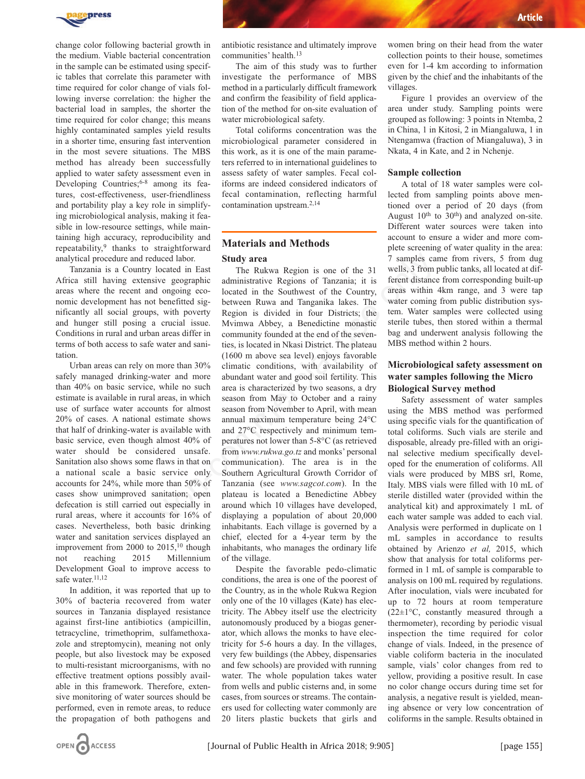

change color following bacterial growth in the medium. Viable bacterial concentration in the sample can be estimated using specific tables that correlate this parameter with time required for color change of vials following inverse correlation: the higher the bacterial load in samples, the shorter the time required for color change; this means highly contaminated samples yield results in a shorter time, ensuring fast intervention in the most severe situations. The MBS method has already been successfully applied to water safety assessment even in Developing Countries;<sup>6-8</sup> among its features, cost-effectiveness, user-friendliness and portability play a key role in simplifying microbiological analysis, making it feasible in low-resource settings, while maintaining high accuracy, reproducibility and repeatability,<sup>9</sup> thanks to straightforward analytical procedure and reduced labor.

Tanzania is a Country located in East Africa still having extensive geographic areas where the recent and ongoing economic development has not benefitted significantly all social groups, with poverty and hunger still posing a crucial issue. Conditions in rural and urban areas differ in terms of both access to safe water and sanitation.

Urban areas can rely on more than 30% safely managed drinking-water and more than 40% on basic service, while no such estimate is available in rural areas, in which use of surface water accounts for almost 20% of cases. A national estimate shows that half of drinking-water is available with basic service, even though almost 40% of water should be considered unsafe. Sanitation also shows some flaws in that on a national scale a basic service only accounts for 24%, while more than 50% of cases show unimproved sanitation; open defecation is still carried out especially in rural areas, where it accounts for 16% of cases. Nevertheless, both basic drinking water and sanitation services displayed an improvement from 2000 to 2015,<sup>10</sup> though not reaching 2015 Millennium Development Goal to improve access to safe water.<sup>11,12</sup>

In addition, it was reported that up to 30% of bacteria recovered from water sources in Tanzania displayed resistance against first-line antibiotics (ampicillin, tetracycline, trimethoprim, sulfamethoxazole and streptomycin), meaning not only people, but also livestock may be exposed to multi-resistant microorganisms, with no effective treatment options possibly available in this framework. Therefore, extensive monitoring of water sources should be performed, even in remote areas, to reduce the propagation of both pathogens and

The aim of this study was to further investigate the performance of MBS method in a particularly difficult framework and confirm the feasibility of field application of the method for on-site evaluation of water microbiological safety.

Total coliforms concentration was the microbiological parameter considered in this work, as it is one of the main parameters referred to in international guidelines to assess safety of water samples. Fecal coliforms are indeed considered indicators of fecal contamination, reflecting harmful contamination upstream.2,14

# **Materials and Methods**

#### **Study area**

The Rukwa Region is one of the 31 administrative Regions of Tanzania; it is located in the Southwest of the Country, between Ruwa and Tanganika lakes. The Region is divided in four Districts; the Mvimwa Abbey, a Benedictine monastic community founded at the end of the seventies, is located in Nkasi District. The plateau (1600 m above sea level) enjoys favorable climatic conditions, with availability of abundant water and good soil fertility. This area is characterized by two seasons, a dry season from May to October and a rainy season from November to April, with mean annual maximum temperature being 24°C and 27°C respectively and minimum temperatures not lower than 5-8°C (as retrieved from *www.rukwa.go.tz* and monks' personal communication). The area is in the Southern Agricultural Growth Corridor of Tanzania (see *www.sagcot.com*). In the plateau is located a Benedictine Abbey around which 10 villages have developed, displaying a population of about 20,000 inhabitants. Each village is governed by a chief, elected for a 4-year term by the inhabitants, who manages the ordinary life of the village. duced labor. **Study area** 7 samples ca<br>
located in East The Rukwa Region is one of the 31 vells, 3 from<br>
sive geographic administrative Regions of Tanzania; it is ferent distance<br>
are geographic administrative Regions of

Despite the favorable pedo-climatic conditions, the area is one of the poorest of the Country, as in the whole Rukwa Region only one of the 10 villages (Kate) has electricity. The Abbey itself use the electricity autonomously produced by a biogas generator, which allows the monks to have electricity for 5-6 hours a day. In the villages, very few buildings (the Abbey, dispensaries and few schools) are provided with running water. The whole population takes water from wells and public cisterns and, in some cases, from sources or streams. The containers used for collecting water commonly are 20 liters plastic buckets that girls and

women bring on their head from the water collection points to their house, sometimes even for 1-4 km according to information given by the chief and the inhabitants of the villages.

Figure 1 provides an overview of the area under study. Sampling points were grouped as following: 3 points in Ntemba, 2 in China, 1 in Kitosi, 2 in Miangaluwa, 1 in Ntengamwa (fraction of Miangaluwa), 3 in Nkata, 4 in Kate, and 2 in Nchenje.

#### **Sample collection**

A total of 18 water samples were collected from sampling points above mentioned over a period of 20 days (from August 10th to 30th) and analyzed on-site. Different water sources were taken into account to ensure a wider and more complete screening of water quality in the area: 7 samples came from rivers, 5 from dug wells, 3 from public tanks, all located at different distance from corresponding built-up areas within 4km range, and 3 were tap water coming from public distribution system. Water samples were collected using sterile tubes, then stored within a thermal bag and underwent analysis following the MBS method within 2 hours.

# **Microbiological safety assessment on water samples following the Micro Biological Survey method**

Safety assessment of water samples using the MBS method was performed using specific vials for the quantification of total coliforms. Such vials are sterile and disposable, already pre-filled with an original selective medium specifically developed for the enumeration of coliforms. All vials were produced by MBS srl, Rome, Italy. MBS vials were filled with 10 mL of sterile distilled water (provided within the analytical kit) and approximately 1 mL of each water sample was added to each vial. Analysis were performed in duplicate on 1 mL samples in accordance to results obtained by Arienzo *et al,* 2015, which show that analysis for total coliforms performed in 1 mL of sample is comparable to analysis on 100 mL required by regulations. After inoculation, vials were incubated for up to 72 hours at room temperature  $(22 \pm 1\degree C,$  constantly measured through a thermometer), recording by periodic visual inspection the time required for color change of vials. Indeed, in the presence of viable coliform bacteria in the inoculated sample, vials' color changes from red to yellow, providing a positive result. In case no color change occurs during time set for analysis, a negative result is yielded, meaning absence or very low concentration of coliforms in the sample. Results obtained in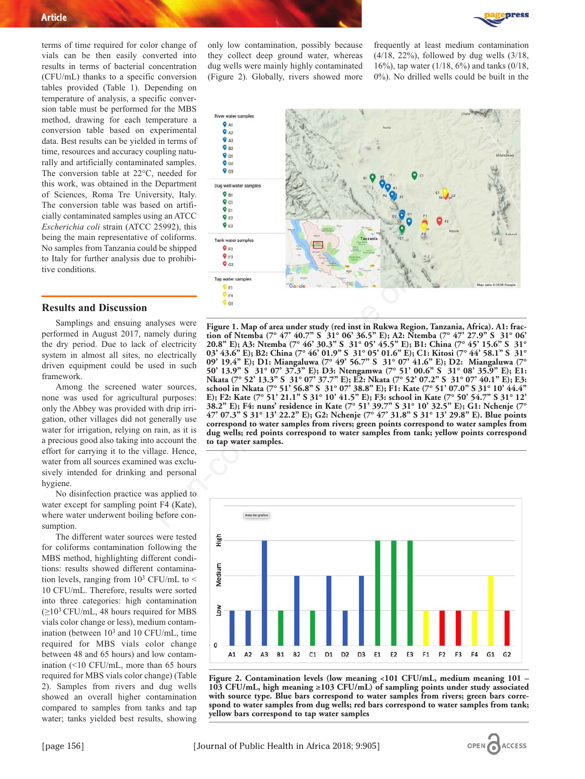terms of time required for color change of vials can be then easily converted into results in terms of bacterial concentration (CFU/mL) thanks to a specific conversion tables provided (Table 1). Depending on temperature of analysis, a specific conversion table must be performed for the MBS method, drawing for each temperature a conversion table based on experimental data. Best results can be yielded in terms of time, resources and accuracy coupling naturally and artificially contaminated samples. The conversion table at 22°C, needed for this work, was obtained in the Department of Sciences, Roma Tre University, Italy. The conversion table was based on artificially contaminated samples using an ATCC *Escherichia coli* strain (ATCC 25992), this being the main representative of coliforms. No samples from Tanzania could be shipped to Italy for further analysis due to prohibitive conditions.

### **Results and Discussion**

Samplings and ensuing analyses were performed in August 2017, namely during the dry period. Due to lack of electricity system in almost all sites, no electrically driven equipment could be used in such framework.

Among the screened water sources, none was used for agricultural purposes: only the Abbey was provided with drip irrigation, other villages did not generally use water for irrigation, relying on rain, as it is a precious good also taking into account the effort for carrying it to the village. Hence, water from all sources examined was exclusively intended for drinking and personal hygiene.

No disinfection practice was applied to water except for sampling point F4 (Kate), where water underwent boiling before consumption.

The different water sources were tested for coliforms contamination following the MBS method, highlighting different conditions: results showed different contamination levels, ranging from  $10^3$  CFU/mL to < 10 CFU/mL. Therefore, results were sorted into three categories: high contamination  $(\geq 10^3 \text{ CFU/mL}, 48 \text{ hours required for MBS})$ vials color change or less), medium contamination (between  $10<sup>3</sup>$  and  $10$  CFU/mL, time required for MBS vials color change between 48 and 65 hours) and low contamination (<10 CFU/mL, more than 65 hours required for MBS vials color change) (Table 2). Samples from rivers and dug wells showed an overall higher contamination compared to samples from tanks and tap water; tanks yielded best results, showing

only low contamination, possibly because they collect deep ground water, whereas dug wells were mainly highly contaminated (Figure 2). Globally, rivers showed more frequently at least medium contamination (4/18, 22%), followed by dug wells (3/18, 16%), tap water (1/18, 6%) and tanks (0/18, 0%). No drilled wells could be built in the



**Figure 1. Map of area under study (red inst in Rukwa Region, Tanzania, Africa). A1: fraction of Ntemba (7° 47' 40.7'' S 31° 06' 36.5'' E); A2: Ntemba (7° 47' 27.9'' S 31° 06' 20.8'' E); A3: Ntemba (7° 46' 30.3'' S 31° 05' 45.5'' E); B1: China (7° 45' 15.6'' S 31° 03' 43.6'' E); B2: China (7° 46' 01.9'' S 31° 05' 01.6'' E); C1: Kitosi (7° 44' 58.1'' S 31° 09' 19.4'' E); D1: Miangaluwa (7° 49' 56.7'' S 31° 07' 41.6'' E); D2: Miangaluwa (7° 50' 13.9'' S 31° 07' 37.3'' E); D3: Ntengamwa (7° 51' 00.6'' S 31° 08' 35.9'' E); E1: Nkata (7° 52' 13.3'' S 31° 07' 37.7'' E); E2: Nkata (7° 52' 07.2'' S 31° 07' 40.1'' E); E3: school in Nkata (7° 51' 56.8'' S 31° 07' 38.8'' E); F1: Kate (7° 51' 07.0'' S 31° 10' 44.4'' E); F2: Kate (7° 51' 21.1'' S 31° 10' 41.5'' E); F3: school in Kate (7° 50' 54.7'' S 31° 12' 38.2'' E); F4: nuns' residence in Kate (7° 51' 39.7'' S 31° 10' 32.5'' E); G1: Nchenje (7° 47' 07.3'' S 31° 13' 22.2'' E); G2: Nchenje (7° 47' 31.8'' S 31° 13' 29.8'' E). Blue points correspond to water samples from rivers; green points correspond to water samples from dug wells; red points correspond to water samples from tank; yellow points correspond to tap water samples.** e to prohibi-<br>
Tap water samples<br>
Tap water samples<br>
Tap water samples<br>
Tap water samples<br>
Tap of Ntemba (7° 47' 40.7" S 3.1° 06' 36.5" E); A2: Ntemba<br>
of Celectricity 20.8" E); A3: Ntemba (7° 46' 30.3" S 3.1° 06' 36.5" E



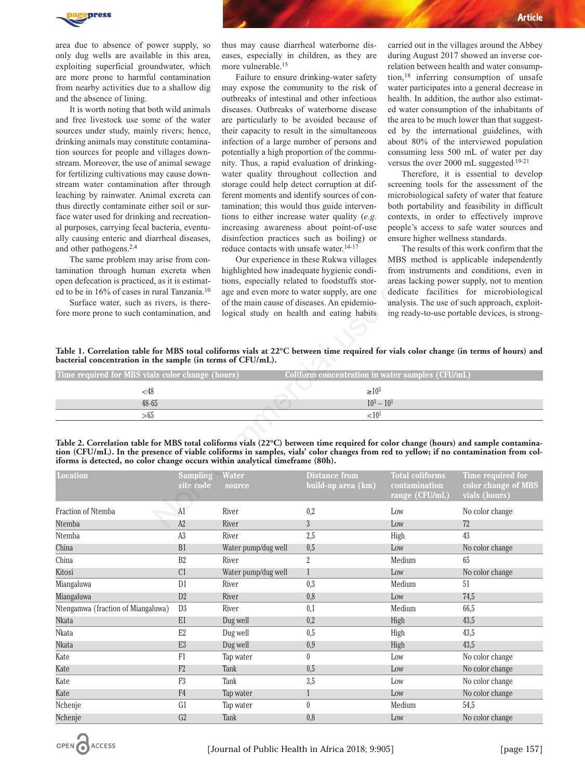

area due to absence of power supply, so only dug wells are available in this area, exploiting superficial groundwater, which are more prone to harmful contamination from nearby activities due to a shallow dig and the absence of lining.

It is worth noting that both wild animals and free livestock use some of the water sources under study, mainly rivers; hence, drinking animals may constitute contamination sources for people and villages downstream. Moreover, the use of animal sewage for fertilizing cultivations may cause downstream water contamination after through leaching by rainwater. Animal excreta can thus directly contaminate either soil or surface water used for drinking and recreational purposes, carrying fecal bacteria, eventually causing enteric and diarrheal diseases, and other pathogens.2,4

thus may cause diarrheal waterborne diseases, especially in children, as they are more vulnerable.15

Failure to ensure drinking-water safety may expose the community to the risk of outbreaks of intestinal and other infectious diseases. Outbreaks of waterborne disease are particularly to be avoided because of their capacity to result in the simultaneous infection of a large number of persons and potentially a high proportion of the community. Thus, a rapid evaluation of drinkingwater quality throughout collection and storage could help detect corruption at different moments and identify sources of contamination; this would thus guide interventions to either increase water quality (*e.g.* increasing awareness about point-of-use disinfection practices such as boiling) or reduce contacts with unsafe water.<sup>14-17</sup>

carried out in the villages around the Abbey during August 2017 showed an inverse correlation between health and water consumption,18 inferring consumption of unsafe water participates into a general decrease in health. In addition, the author also estimated water consumption of the inhabitants of the area to be much lower than that suggested by the international guidelines, with about 80% of the interviewed population consuming less 500 mL of water per day versus the over 2000 mL suggested.19-21

Therefore, it is essential to develop screening tools for the assessment of the microbiological safety of water that feature both portability and feasibility in difficult contexts, in order to effectively improve people's access to safe water sources and ensure higher wellness standards.

The results of this work confirm that the MBS method is applicable independently from instruments and conditions, even in areas lacking power supply, not to mention dedicate facilities for microbiological analysis. The use of such approach, exploiting ready-to-use portable devices, is strong-

**Table 1. Correlation table for MBS total coliforms vials at 22°C between time required for vials color change (in terms of hours) and bacterial concentration in the sample (in terms of CFU/mL).**

| $>10^{3}$<br><48<br>$10^3 - 10^1$<br>$48 - 65$<br>-101<br>>65 | Time required for MBS vials color change (hours). | Coliform concentration in water samples (CFU/mL) |
|---------------------------------------------------------------|---------------------------------------------------|--------------------------------------------------|
|                                                               |                                                   |                                                  |
|                                                               |                                                   |                                                  |
|                                                               |                                                   |                                                  |

| Table 2. Correlation table for MBS total coliforms vials (22°C) between time required for color change (hours) and sample contamina-  |  |
|---------------------------------------------------------------------------------------------------------------------------------------|--|
| tion (CFU/mL). In the presence of viable coliforms in samples, vials' color changes from red to vellow; if no contamination from col- |  |
| iforms is detected, no color change occurs within analytical timeframe (80h).                                                         |  |

| The same problem may arise from con-<br>tamination through human excreta when<br>open defecation is practiced, as it is estimat-<br>ed to be in 16% of cases in rural Tanzania. <sup>10</sup><br>Surface water, such as rivers, is there-<br>fore more prone to such contamination, and<br>bacterial concentration in the sample (in terms of CFU/mL). |                              | Our experience in these Rukwa villages<br>highlighted how inadequate hygienic condi-<br>tions, especially related to foodstuffs stor-<br>age and even more to water supply, are one<br>of the main cause of diseases. An epidemio-<br>logical study on health and eating habits<br>Table 1. Correlation table for MBS total coliforms vials at 22°C between time required for vials color change (in terms of hours) and |                                                  | MBS method is applicable independently<br>from instruments and conditions, even in<br>areas lacking power supply, not to mention<br>dedicate facilities for microbiological<br>analysis. The use of such approach, exploit-<br>ing ready-to-use portable devices, is strong- |                                                           |
|--------------------------------------------------------------------------------------------------------------------------------------------------------------------------------------------------------------------------------------------------------------------------------------------------------------------------------------------------------|------------------------------|--------------------------------------------------------------------------------------------------------------------------------------------------------------------------------------------------------------------------------------------------------------------------------------------------------------------------------------------------------------------------------------------------------------------------|--------------------------------------------------|------------------------------------------------------------------------------------------------------------------------------------------------------------------------------------------------------------------------------------------------------------------------------|-----------------------------------------------------------|
| Time required for MBS vials color change (hours)                                                                                                                                                                                                                                                                                                       |                              |                                                                                                                                                                                                                                                                                                                                                                                                                          | Coliform concentration in water samples (CFU/mL) |                                                                                                                                                                                                                                                                              |                                                           |
| <48                                                                                                                                                                                                                                                                                                                                                    |                              |                                                                                                                                                                                                                                                                                                                                                                                                                          | $\geq 10^3$                                      |                                                                                                                                                                                                                                                                              |                                                           |
| 48-65                                                                                                                                                                                                                                                                                                                                                  |                              |                                                                                                                                                                                                                                                                                                                                                                                                                          | $10^3 - 10^1$                                    |                                                                                                                                                                                                                                                                              |                                                           |
| >65                                                                                                                                                                                                                                                                                                                                                    |                              |                                                                                                                                                                                                                                                                                                                                                                                                                          | < 10 <sup>1</sup>                                |                                                                                                                                                                                                                                                                              |                                                           |
| tion (CFU/mL). In the presence of viable coliforms in samples, vials' color changes from red to yellow; if no contamination from col-<br>iforms is detected, no color change occurs within analytical timeframe (80h).<br><b>Location</b>                                                                                                              | <b>Sampling</b><br>site code | <b>Water</b><br>source                                                                                                                                                                                                                                                                                                                                                                                                   | <b>Distance from</b><br>build-up area (km)       | <b>Total coliforms</b><br>contamination<br>range (CFU/mL)                                                                                                                                                                                                                    | Time required for<br>color change of MBS<br>vials (hours) |
| Fraction of Ntemba                                                                                                                                                                                                                                                                                                                                     | A1                           | River                                                                                                                                                                                                                                                                                                                                                                                                                    | 0,2                                              | Low                                                                                                                                                                                                                                                                          | No color change                                           |
| Ntemba                                                                                                                                                                                                                                                                                                                                                 | A2                           | River                                                                                                                                                                                                                                                                                                                                                                                                                    | $\overline{3}$                                   | Low                                                                                                                                                                                                                                                                          | 72                                                        |
| Ntemba                                                                                                                                                                                                                                                                                                                                                 | A3                           | River                                                                                                                                                                                                                                                                                                                                                                                                                    | 2,5                                              | High                                                                                                                                                                                                                                                                         | 43                                                        |
| China                                                                                                                                                                                                                                                                                                                                                  | B1                           | Water pump/dug well                                                                                                                                                                                                                                                                                                                                                                                                      | 0,5                                              | Low                                                                                                                                                                                                                                                                          | No color change                                           |
| China                                                                                                                                                                                                                                                                                                                                                  | B <sub>2</sub>               | River                                                                                                                                                                                                                                                                                                                                                                                                                    | $\overline{2}$                                   | Medium                                                                                                                                                                                                                                                                       | 65                                                        |
| Kitosi                                                                                                                                                                                                                                                                                                                                                 | C1                           | Water pump/dug well                                                                                                                                                                                                                                                                                                                                                                                                      | 1                                                | Low                                                                                                                                                                                                                                                                          | No color change                                           |
| Miangaluwa                                                                                                                                                                                                                                                                                                                                             | D <sub>1</sub>               | River                                                                                                                                                                                                                                                                                                                                                                                                                    | 0,3                                              | Medium                                                                                                                                                                                                                                                                       | 51                                                        |
| Miangaluwa                                                                                                                                                                                                                                                                                                                                             | D <sub>2</sub>               | River                                                                                                                                                                                                                                                                                                                                                                                                                    | 0,8                                              | Low                                                                                                                                                                                                                                                                          | 74,5                                                      |
| Ntengamwa (fraction of Miangaluwa)                                                                                                                                                                                                                                                                                                                     | D <sub>3</sub>               | River                                                                                                                                                                                                                                                                                                                                                                                                                    | 0,1                                              | Medium                                                                                                                                                                                                                                                                       | 66,5                                                      |
| Nkata                                                                                                                                                                                                                                                                                                                                                  | E1                           | Dug well                                                                                                                                                                                                                                                                                                                                                                                                                 | 0,2                                              | High                                                                                                                                                                                                                                                                         | 43,5                                                      |
| Nkata                                                                                                                                                                                                                                                                                                                                                  | E <sub>2</sub>               | Dug well                                                                                                                                                                                                                                                                                                                                                                                                                 | 0,5                                              | High                                                                                                                                                                                                                                                                         | 43,5                                                      |
| Nkata                                                                                                                                                                                                                                                                                                                                                  | E <sub>3</sub>               | Dug well                                                                                                                                                                                                                                                                                                                                                                                                                 | 0,9                                              | High                                                                                                                                                                                                                                                                         | 43,5                                                      |
| Kate                                                                                                                                                                                                                                                                                                                                                   | F1                           | Tap water                                                                                                                                                                                                                                                                                                                                                                                                                | $\theta$                                         | Low                                                                                                                                                                                                                                                                          | No color change                                           |
| Kate                                                                                                                                                                                                                                                                                                                                                   | F2                           | Tank                                                                                                                                                                                                                                                                                                                                                                                                                     | 0,5                                              | Low                                                                                                                                                                                                                                                                          | No color change                                           |
| Kate                                                                                                                                                                                                                                                                                                                                                   | F <sub>3</sub>               | Tank                                                                                                                                                                                                                                                                                                                                                                                                                     | 3,5                                              | Low                                                                                                                                                                                                                                                                          | No color change                                           |
| Kate                                                                                                                                                                                                                                                                                                                                                   | F <sub>4</sub>               | Tap water                                                                                                                                                                                                                                                                                                                                                                                                                |                                                  | Low                                                                                                                                                                                                                                                                          | No color change                                           |
| Nchenje                                                                                                                                                                                                                                                                                                                                                | G1                           | Tap water                                                                                                                                                                                                                                                                                                                                                                                                                | $\theta$                                         | Medium                                                                                                                                                                                                                                                                       | 54,5                                                      |
| Nchenje                                                                                                                                                                                                                                                                                                                                                | G2                           | Tank                                                                                                                                                                                                                                                                                                                                                                                                                     | 0,8                                              | Low                                                                                                                                                                                                                                                                          | No color change                                           |